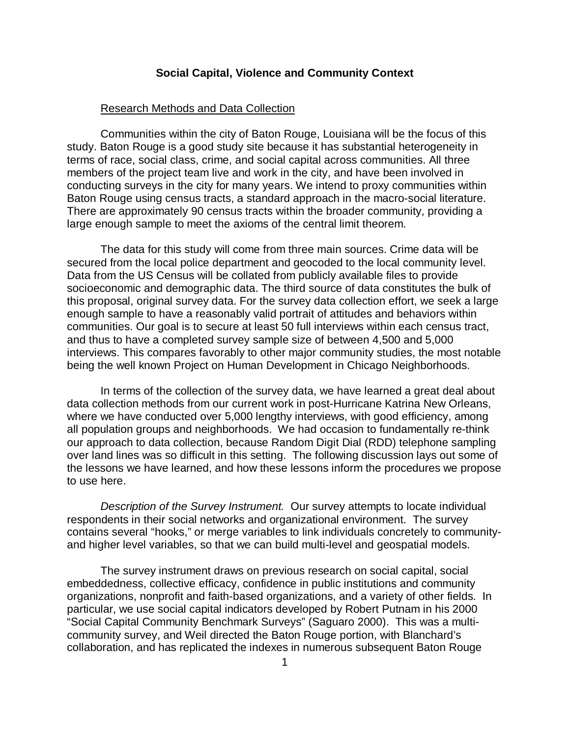## **Social Capital, Violence and Community Context**

## Research Methods and Data Collection

Communities within the city of Baton Rouge, Louisiana will be the focus of this study. Baton Rouge is a good study site because it has substantial heterogeneity in terms of race, social class, crime, and social capital across communities. All three members of the project team live and work in the city, and have been involved in conducting surveys in the city for many years. We intend to proxy communities within Baton Rouge using census tracts, a standard approach in the macro-social literature. There are approximately 90 census tracts within the broader community, providing a large enough sample to meet the axioms of the central limit theorem.

The data for this study will come from three main sources. Crime data will be secured from the local police department and geocoded to the local community level. Data from the US Census will be collated from publicly available files to provide socioeconomic and demographic data. The third source of data constitutes the bulk of this proposal, original survey data. For the survey data collection effort, we seek a large enough sample to have a reasonably valid portrait of attitudes and behaviors within communities. Our goal is to secure at least 50 full interviews within each census tract, and thus to have a completed survey sample size of between 4,500 and 5,000 interviews. This compares favorably to other major community studies, the most notable being the well known Project on Human Development in Chicago Neighborhoods.

In terms of the collection of the survey data, we have learned a great deal about data collection methods from our current work in post-Hurricane Katrina New Orleans, where we have conducted over 5,000 lengthy interviews, with good efficiency, among all population groups and neighborhoods. We had occasion to fundamentally re-think our approach to data collection, because Random Digit Dial (RDD) telephone sampling over land lines was so difficult in this setting. The following discussion lays out some of the lessons we have learned, and how these lessons inform the procedures we propose to use here.

*Description of the Survey Instrument.* Our survey attempts to locate individual respondents in their social networks and organizational environment. The survey contains several "hooks," or merge variables to link individuals concretely to communityand higher level variables, so that we can build multi-level and geospatial models.

The survey instrument draws on previous research on social capital, social embeddedness, collective efficacy, confidence in public institutions and community organizations, nonprofit and faith-based organizations, and a variety of other fields. In particular, we use social capital indicators developed by Robert Putnam in his 2000 "Social Capital Community Benchmark Surveys" (Saguaro 2000). This was a multicommunity survey, and Weil directed the Baton Rouge portion, with Blanchard's collaboration, and has replicated the indexes in numerous subsequent Baton Rouge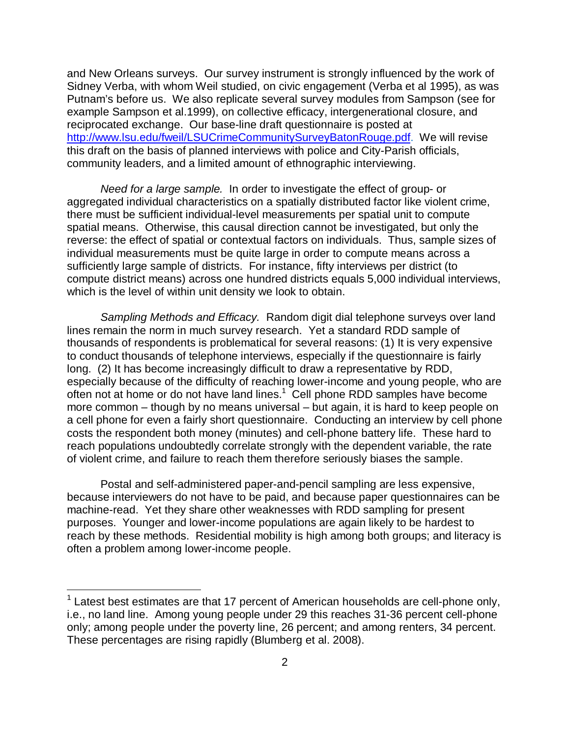and New Orleans surveys. Our survey instrument is strongly influenced by the work of Sidney Verba, with whom Weil studied, on civic engagement (Verba et al 1995), as was Putnam's before us. We also replicate several survey modules from Sampson (see for example Sampson et al.1999), on collective efficacy, intergenerational closure, and reciprocated exchange. Our base-line draft questionnaire is posted at [http://www.lsu.edu/fweil/LSUCrimeCommunitySurveyBatonRouge.pdf.](http://www.lsu.edu/fweil/LSUCrimeCommunitySurveyBatonRouge.pdf) We will revise this draft on the basis of planned interviews with police and City-Parish officials, community leaders, and a limited amount of ethnographic interviewing.

*Need for a large sample.* In order to investigate the effect of group- or aggregated individual characteristics on a spatially distributed factor like violent crime, there must be sufficient individual-level measurements per spatial unit to compute spatial means. Otherwise, this causal direction cannot be investigated, but only the reverse: the effect of spatial or contextual factors on individuals. Thus, sample sizes of individual measurements must be quite large in order to compute means across a sufficiently large sample of districts. For instance, fifty interviews per district (to compute district means) across one hundred districts equals 5,000 individual interviews, which is the level of within unit density we look to obtain.

*Sampling Methods and Efficacy.* Random digit dial telephone surveys over land lines remain the norm in much survey research. Yet a standard RDD sample of thousands of respondents is problematical for several reasons: (1) It is very expensive to conduct thousands of telephone interviews, especially if the questionnaire is fairly long. (2) It has become increasingly difficult to draw a representative by RDD, especially because of the difficulty of reaching lower-income and young people, who are often not at home or do not have land lines.<sup>1</sup> Cell phone RDD samples have become more common – though by no means universal – but again, it is hard to keep people on a cell phone for even a fairly short questionnaire. Conducting an interview by cell phone costs the respondent both money (minutes) and cell-phone battery life. These hard to reach populations undoubtedly correlate strongly with the dependent variable, the rate of violent crime, and failure to reach them therefore seriously biases the sample.

Postal and self-administered paper-and-pencil sampling are less expensive, because interviewers do not have to be paid, and because paper questionnaires can be machine-read. Yet they share other weaknesses with RDD sampling for present purposes. Younger and lower-income populations are again likely to be hardest to reach by these methods. Residential mobility is high among both groups; and literacy is often a problem among lower-income people.

ı

 $1$  Latest best estimates are that 17 percent of American households are cell-phone only, i.e., no land line. Among young people under 29 this reaches 31-36 percent cell-phone only; among people under the poverty line, 26 percent; and among renters, 34 percent. These percentages are rising rapidly (Blumberg et al. 2008).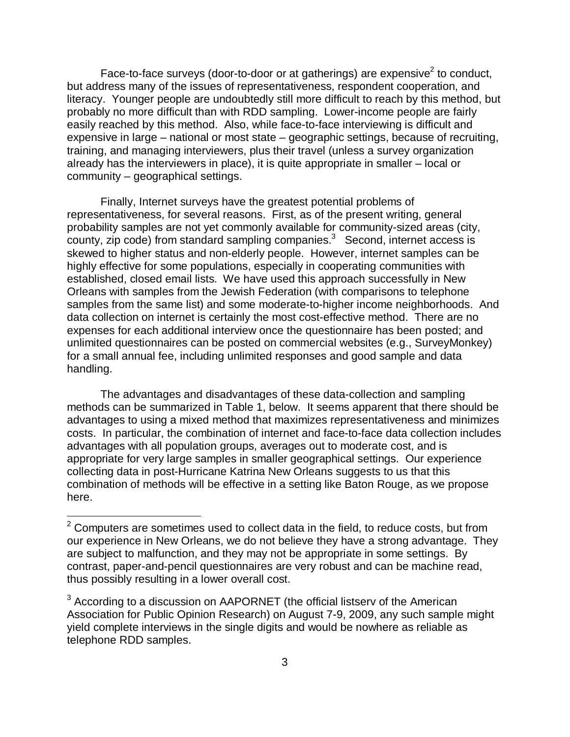Face-to-face surveys (door-to-door or at gatherings) are expensive<sup>2</sup> to conduct, but address many of the issues of representativeness, respondent cooperation, and literacy. Younger people are undoubtedly still more difficult to reach by this method, but probably no more difficult than with RDD sampling. Lower-income people are fairly easily reached by this method. Also, while face-to-face interviewing is difficult and expensive in large – national or most state – geographic settings, because of recruiting, training, and managing interviewers, plus their travel (unless a survey organization already has the interviewers in place), it is quite appropriate in smaller – local or community – geographical settings.

Finally, Internet surveys have the greatest potential problems of representativeness, for several reasons. First, as of the present writing, general probability samples are not yet commonly available for community-sized areas (city, county, zip code) from standard sampling companies.<sup>3</sup> Second, internet access is skewed to higher status and non-elderly people. However, internet samples can be highly effective for some populations, especially in cooperating communities with established, closed email lists. We have used this approach successfully in New Orleans with samples from the Jewish Federation (with comparisons to telephone samples from the same list) and some moderate-to-higher income neighborhoods. And data collection on internet is certainly the most cost-effective method. There are no expenses for each additional interview once the questionnaire has been posted; and unlimited questionnaires can be posted on commercial websites (e.g., SurveyMonkey) for a small annual fee, including unlimited responses and good sample and data handling.

The advantages and disadvantages of these data-collection and sampling methods can be summarized in Table 1, below. It seems apparent that there should be advantages to using a mixed method that maximizes representativeness and minimizes costs. In particular, the combination of internet and face-to-face data collection includes advantages with all population groups, averages out to moderate cost, and is appropriate for very large samples in smaller geographical settings. Our experience collecting data in post-Hurricane Katrina New Orleans suggests to us that this combination of methods will be effective in a setting like Baton Rouge, as we propose here.

l

 $2$  Computers are sometimes used to collect data in the field, to reduce costs, but from our experience in New Orleans, we do not believe they have a strong advantage. They are subject to malfunction, and they may not be appropriate in some settings. By contrast, paper-and-pencil questionnaires are very robust and can be machine read, thus possibly resulting in a lower overall cost.

<sup>&</sup>lt;sup>3</sup> According to a discussion on AAPORNET (the official listserv of the American Association for Public Opinion Research) on August 7-9, 2009, any such sample might yield complete interviews in the single digits and would be nowhere as reliable as telephone RDD samples.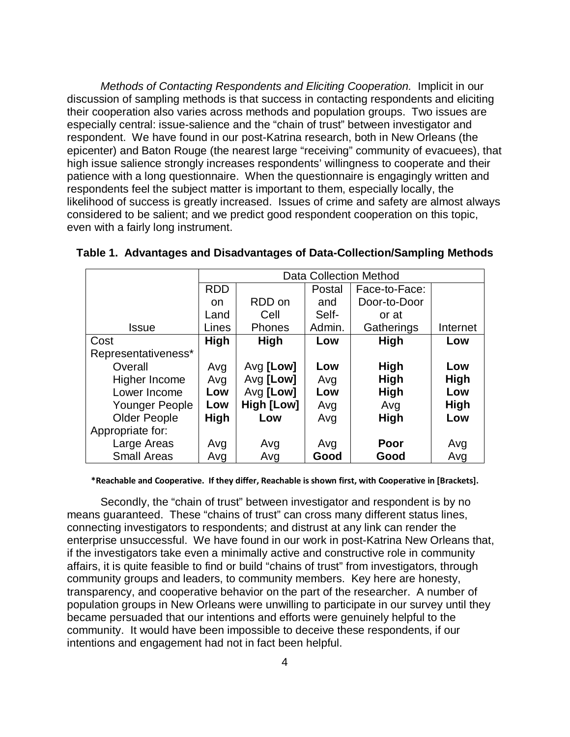*Methods of Contacting Respondents and Eliciting Cooperation.* Implicit in our discussion of sampling methods is that success in contacting respondents and eliciting their cooperation also varies across methods and population groups. Two issues are especially central: issue-salience and the "chain of trust" between investigator and respondent. We have found in our post-Katrina research, both in New Orleans (the epicenter) and Baton Rouge (the nearest large "receiving" community of evacuees), that high issue salience strongly increases respondents' willingness to cooperate and their patience with a long questionnaire. When the questionnaire is engagingly written and respondents feel the subject matter is important to them, especially locally, the likelihood of success is greatly increased. Issues of crime and safety are almost always considered to be salient; and we predict good respondent cooperation on this topic, even with a fairly long instrument.

|                     | <b>Data Collection Method</b> |            |        |               |             |
|---------------------|-------------------------------|------------|--------|---------------|-------------|
|                     | <b>RDD</b>                    |            | Postal | Face-to-Face: |             |
|                     | on.                           | RDD on     | and    | Door-to-Door  |             |
|                     | Land                          | Cell       | Self-  | or at         |             |
| Issue               | Lines                         | Phones     | Admin. | Gatherings    | Internet    |
| Cost                | <b>High</b>                   | High       | Low    | <b>High</b>   | Low         |
| Representativeness* |                               |            |        |               |             |
| Overall             | Avg                           | Avg [Low]  | Low    | <b>High</b>   | Low         |
| Higher Income       | Avg                           | Avg [Low]  | Avg    | <b>High</b>   | High        |
| Lower Income        | Low                           | Avg [Low]  | Low    | <b>High</b>   | Low         |
| Younger People      | Low                           | High [Low] | Avg    | Avg           | <b>High</b> |
| <b>Older People</b> | <b>High</b>                   | Low        | Avg    | <b>High</b>   | Low         |
| Appropriate for:    |                               |            |        |               |             |
| Large Areas         | Avg                           | Avg        | Avg    | Poor          | Avg         |
| <b>Small Areas</b>  | Avg                           | Avg        | Good   | Good          | Avg         |

## **Table 1. Advantages and Disadvantages of Data-Collection/Sampling Methods**

**\*Reachable and Cooperative. If they differ, Reachable is shown first, with Cooperative in [Brackets].**

Secondly, the "chain of trust" between investigator and respondent is by no means guaranteed. These "chains of trust" can cross many different status lines, connecting investigators to respondents; and distrust at any link can render the enterprise unsuccessful. We have found in our work in post-Katrina New Orleans that, if the investigators take even a minimally active and constructive role in community affairs, it is quite feasible to find or build "chains of trust" from investigators, through community groups and leaders, to community members. Key here are honesty, transparency, and cooperative behavior on the part of the researcher. A number of population groups in New Orleans were unwilling to participate in our survey until they became persuaded that our intentions and efforts were genuinely helpful to the community. It would have been impossible to deceive these respondents, if our intentions and engagement had not in fact been helpful.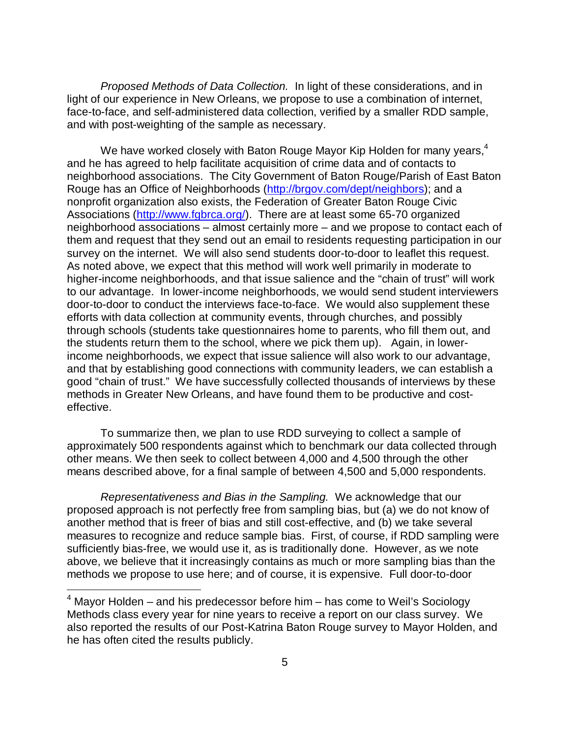*Proposed Methods of Data Collection.* In light of these considerations, and in light of our experience in New Orleans, we propose to use a combination of internet, face-to-face, and self-administered data collection, verified by a smaller RDD sample, and with post-weighting of the sample as necessary.

We have worked closely with Baton Rouge Mayor Kip Holden for many years, $4$ and he has agreed to help facilitate acquisition of crime data and of contacts to neighborhood associations. The City Government of Baton Rouge/Parish of East Baton Rouge has an Office of Neighborhoods [\(http://brgov.com/dept/neighbors\)](http://brgov.com/dept/neighbors); and a nonprofit organization also exists, the Federation of Greater Baton Rouge Civic Associations [\(http://www.fgbrca.org/\)](http://www.fgbrca.org/). There are at least some 65-70 organized neighborhood associations – almost certainly more – and we propose to contact each of them and request that they send out an email to residents requesting participation in our survey on the internet. We will also send students door-to-door to leaflet this request. As noted above, we expect that this method will work well primarily in moderate to higher-income neighborhoods, and that issue salience and the "chain of trust" will work to our advantage. In lower-income neighborhoods, we would send student interviewers door-to-door to conduct the interviews face-to-face. We would also supplement these efforts with data collection at community events, through churches, and possibly through schools (students take questionnaires home to parents, who fill them out, and the students return them to the school, where we pick them up). Again, in lowerincome neighborhoods, we expect that issue salience will also work to our advantage, and that by establishing good connections with community leaders, we can establish a good "chain of trust." We have successfully collected thousands of interviews by these methods in Greater New Orleans, and have found them to be productive and costeffective.

To summarize then, we plan to use RDD surveying to collect a sample of approximately 500 respondents against which to benchmark our data collected through other means. We then seek to collect between 4,000 and 4,500 through the other means described above, for a final sample of between 4,500 and 5,000 respondents.

*Representativeness and Bias in the Sampling.* We acknowledge that our proposed approach is not perfectly free from sampling bias, but (a) we do not know of another method that is freer of bias and still cost-effective, and (b) we take several measures to recognize and reduce sample bias. First, of course, if RDD sampling were sufficiently bias-free, we would use it, as is traditionally done. However, as we note above, we believe that it increasingly contains as much or more sampling bias than the methods we propose to use here; and of course, it is expensive. Full door-to-door

ı

 $4$  Mayor Holden – and his predecessor before him – has come to Weil's Sociology Methods class every year for nine years to receive a report on our class survey. We also reported the results of our Post-Katrina Baton Rouge survey to Mayor Holden, and he has often cited the results publicly.